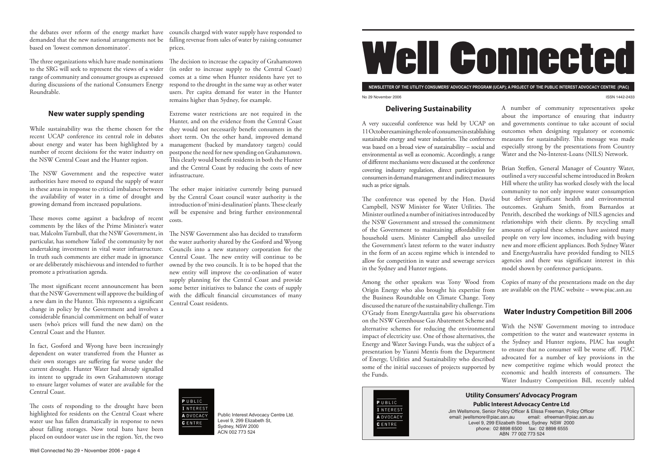

**NEWSLETTER OF THE UTILITY CONSUMERS' ADVOCACY PROGRAM (UCAP); A PROJECT OF THE PUBLIC INTEREST ADVOCACY CENTRE (PIAC)** No 29 November 2006 ISSN 1442-2433

Public Interest Advocacy Centre Ltd. Level 9, 299 Elizabeth St, Sydney, NSW 2000 ACN 002 773 524

## **Delivering Sustainability**

A very successful conference was held by UCAP on 11 October examining the role of consumers in establishing sustainable energy and water industries. The conference was based on a broad view of sustainability – social and environmental as well as economic. Accordingly, a range of different mechanisms were discussed at the conference covering industry regulation, direct participation by consumers in demand management and indirect measures such as price signals.

The conference was opened by the Hon. David Campbell, NSW Minister for Water Utilities. The Minister outlined a number of initiatives introduced by the NSW Government and stressed the commitment of the Government to maintaining affordability for household users. Minister Campbell also unveiled the Government's latest reform to the water industry in the form of an access regime which is intended to allow for competition in water and sewerage services in the Sydney and Hunter regions. Brian Steffen, General Manager of Country Water, outlined a very successful scheme introduced in Broken Hill where the utility has worked closely with the local community to not only improve water consumption but deliver significant health and environmental outcomes. Graham Smith, from Barnardos at Penrith, described the workings of NILS agencies and relationships with their clients. By recycling small amounts of capital these schemes have assisted many people on very low incomes, including with buying new and more efficient appliances. Both Sydney Water and EnergyAustralia have provided funding to NILS agencies and there was significant interest in this model shown by conference participants.

The three organizations which have made nominations  $\;\;\;$  The decision to increase the capacity of Grahamstown to the SRG will seek to represent the views of a wider range of community and consumer groups as expressed during discussions of the national Consumers Energy respond to the drought in the same way as other water Roundtable.

While sustainability was the theme chosen for the they would not necessarily benefit consumers in the recent UCAP conference its central role in debates about energy and water has been highlighted by a number of recent decisions for the water industry on the NSW Central Coast and the Hunter region.

A number of community representatives spoke about the importance of ensuring that industry and governments continue to take account of social outcomes when designing regulatory or economic measures for sustainability. This message was made especially strong by the presentations from Country Water and the No-Interest-Loans (NILS) Network.

The NSW Government and the respective water authorities have moved to expand the supply of water in these areas in response to critical imbalance between the availability of water in a time of drought and growing demand from increased populations.

These moves come against a backdrop of recent comments by the likes of the Prime Minister's water tsar, Malcolm Turnbull, that the NSW Government, in The NSW Government also has decided to transform particular, has somehow 'failed' the community by not undertaking investment in vital water infrastructure. In truth such comments are either made in ignorance or are deliberately mischievous and intended to further owned by the two councils. It is to be hoped that the promote a privatisation agenda.

> Among the other speakers was Tony Wood from Origin Energy who also brought his expertise from the Business Roundtable on Climate Change. Tony discussed the nature of the sustainability challenge. Tim O'Grady from EnergyAustralia gave his observations on the NSW Greenhouse Gas Abatement Scheme and alternative schemes for reducing the environmental impact of electricity use. One of those alternatives, the Energy and Water Savings Funds, was the subject of a presentation by Yianni Mentis from the Department of Energy, Utilities and Sustainability who described some of the initial successes of projects supported by the Funds. Copies of many of the presentations made on the day are available on the PIAC website – www.piac.asn.au **Water Industry Competition Bill 2006** With the NSW Government moving to introduce competition to the water and wastewater systems in the Sydney and Hunter regions, PIAC has sought to ensure that no consumer will be worse off. PIAC advocated for a number of key provisions in the new competitive regime which would protect the economic and health interests of consumers. The Water Industry Competition Bill, recently tabled



The most significant recent announcement has been that the NSW Government will approve the building of a new dam in the Hunter. This represents a significant change in policy by the Government and involves a considerable financial commitment on behalf of water users (who's prices will fund the new dam) on the Central Coast and the Hunter.

The costs of responding to the drought have been highlighted for residents on the Central Coast where water use has fallen dramatically in response to news about falling storages. Now total bans have been placed on outdoor water use in the region. Yet, the two

The other major initiative currently being pursued by the Central Coast council water authority is the introduction of 'mini-desalination' plants. These clearly will be expensive and bring further environmental costs.

the debates over reform of the energy market have councils charged with water supply have responded to demanded that the new national arrangements not be falling revenue from sales of water by raising consumer based on 'lowest common denominator'.

> Jim Wellsmore, Senior Policy Officer & Elissa Freeman, Policy Officer email: jwellsmore@piac.asn.au email: efreeman@piac.asn.au Level 9, 299 Elizabeth Street, Sydney NSW 2000 phone: 02 8898 6500 fax: 02 8898 6555 ABN 77 002 773 524

### **New water supply spending**

In fact, Gosford and Wyong have been increasingly dependent on water transferred from the Hunter as their own storages are suffering far worse under the current drought. Hunter Water had already signalled its intent to upgrade its own Grahamstown storage to ensure larger volumes of water are available for the Central Coast.

prices.

(in order to increase supply to the Central Coast) comes at a time when Hunter residents have yet to users. Per capita demand for water in the Hunter remains higher than Sydney, for example.

Extreme water restrictions are not required in the Hunter, and on the evidence from the Central Coast short term. On the other hand, improved demand management (backed by mandatory targets) could postpone the need for new spending on Grahamstown. This clearly would benefit residents in both the Hunter and the Central Coast by reducing the costs of new infrastructure.

the water authority shared by the Gosford and Wyong Councils into a new statutory corporation for the Central Coast. The new entity will continue to be new entity will improve the co-ordination of water supply planning for the Central Coast and provide some better initiatives to balance the costs of supply with the difficult financial circumstances of many Central Coast residents.



# **Utility Consumers' Advocacy Program Public Interest Advocacy Centre Ltd**